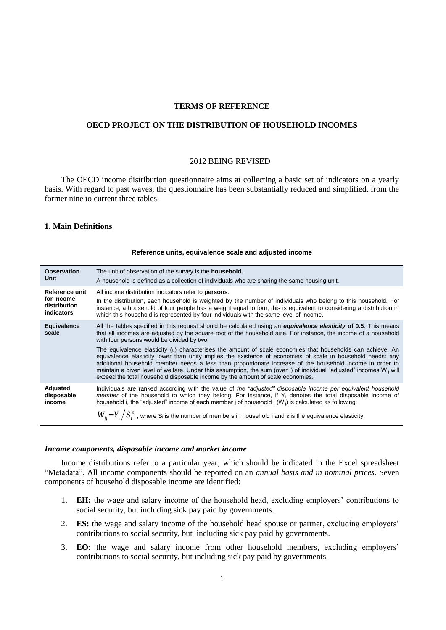# **TERMS OF REFERENCE**

# **OECD PROJECT ON THE DISTRIBUTION OF HOUSEHOLD INCOMES**

## 2012 BEING REVISED

The OECD income distribution questionnaire aims at collecting a basic set of indicators on a yearly basis. With regard to past waves, the questionnaire has been substantially reduced and simplified, from the former nine to current three tables.

# **1. Main Definitions**

#### **Reference units, equivalence scale and adjusted income**

| <b>Observation</b>               | The unit of observation of the survey is the <b>household.</b>                                                                                                                                                                                                                                                                                                                                                                                                                                                                                                                                                                                                                                                                                                                                                                                                         |
|----------------------------------|------------------------------------------------------------------------------------------------------------------------------------------------------------------------------------------------------------------------------------------------------------------------------------------------------------------------------------------------------------------------------------------------------------------------------------------------------------------------------------------------------------------------------------------------------------------------------------------------------------------------------------------------------------------------------------------------------------------------------------------------------------------------------------------------------------------------------------------------------------------------|
| Unit                             | A household is defined as a collection of individuals who are sharing the same housing unit.                                                                                                                                                                                                                                                                                                                                                                                                                                                                                                                                                                                                                                                                                                                                                                           |
| Reference unit                   | All income distribution indicators refer to <b>persons</b> .                                                                                                                                                                                                                                                                                                                                                                                                                                                                                                                                                                                                                                                                                                                                                                                                           |
| for income                       | In the distribution, each household is weighted by the number of individuals who belong to this household. For                                                                                                                                                                                                                                                                                                                                                                                                                                                                                                                                                                                                                                                                                                                                                         |
| distribution                     | instance, a household of four people has a weight equal to four; this is equivalent to considering a distribution in                                                                                                                                                                                                                                                                                                                                                                                                                                                                                                                                                                                                                                                                                                                                                   |
| indicators                       | which this household is represented by four individuals with the same level of income.                                                                                                                                                                                                                                                                                                                                                                                                                                                                                                                                                                                                                                                                                                                                                                                 |
| <b>Equivalence</b><br>scale      | All the tables specified in this request should be calculated using an <b>equivalence elasticity of 0.5</b> . This means<br>that all incomes are adjusted by the square root of the household size. For instance, the income of a household<br>with four persons would be divided by two.<br>The equivalence elasticity ( $\varepsilon$ ) characterises the amount of scale economies that households can achieve. An<br>equivalence elasticity lower than unity implies the existence of economies of scale in household needs: any<br>additional household member needs a less than proportionate increase of the household income in order to<br>maintain a given level of welfare. Under this assumption, the sum (over j) of individual "adjusted" incomes W <sub>ii</sub> will<br>exceed the total household disposable income by the amount of scale economies. |
| Adjusted<br>disposable<br>income | Individuals are ranked according with the value of the "adjusted" disposable income per equivalent household<br>member of the household to which they belong. For instance, if Y <sub>i</sub> denotes the total disposable income of<br>household i, the "adjusted" income of each member j of household $i(W_{ii})$ is calculated as following:<br>$W_{ii} = Y_i / S_i^{\varepsilon}$ , where S <sub>i</sub> is the number of members in household i and $\varepsilon$ is the equivalence elasticity.                                                                                                                                                                                                                                                                                                                                                                 |

#### *Income components, disposable income and market income*

Income distributions refer to a particular year, which should be indicated in the Excel spreadsheet "Metadata". All income components should be reported on an *annual basis and in nominal prices*. Seven components of household disposable income are identified:

- 1. **EH:** the wage and salary income of the household head, excluding employers' contributions to social security, but including sick pay paid by governments.
- 2. **ES:** the wage and salary income of the household head spouse or partner, excluding employers' contributions to social security, but including sick pay paid by governments.
- 3. **EO:** the wage and salary income from other household members, excluding employers' contributions to social security, but including sick pay paid by governments.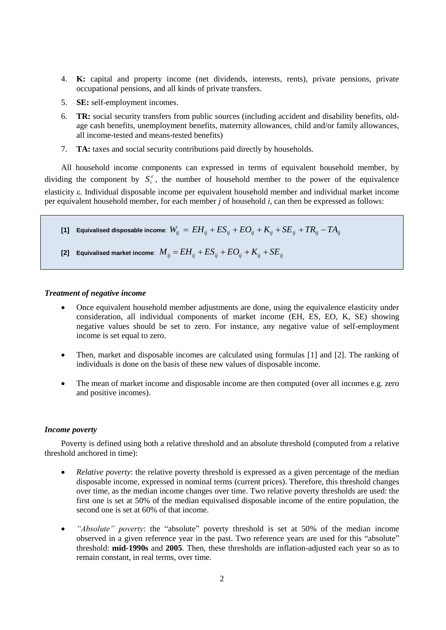- 4. **K:** capital and property income (net dividends, interests, rents), private pensions, private occupational pensions, and all kinds of private transfers.
- 5. **SE:** self-employment incomes.
- 6. **TR:** social security transfers from public sources (including accident and disability benefits, oldage cash benefits, unemployment benefits, maternity allowances, child and/or family allowances, all income-tested and means-tested benefits)
- 7. **TA:** taxes and social security contributions paid directly by households.

All household income components can expressed in terms of equivalent household member, by dividing the component by  $S_i^{\varepsilon}$ , the number of household member to the power of the equivalence elasticity  $\varepsilon$ . Individual disposable income per equivalent household member and individual market income per equivalent household member, for each member *j* of household *i*, can then be expressed as follows:

 $\bf{F1}$ ]  $\bf{Equivalised }$  disposable income:  $W_{ij}\,=\,EH_{ij}+ES_{ij}+EO_{ij}+K_{ij}+SE_{ij}+TR_{ij}-TA_{ij}$ 

**[2] Equivalised market income**: *Mij EHij ESij EOij Kij SEij*

# *Treatment of negative income*

- Once equivalent household member adjustments are done, using the equivalence elasticity under consideration, all individual components of market income (EH, ES, EO, K, SE) showing negative values should be set to zero. For instance, any negative value of self-employment income is set equal to zero.
- Then, market and disposable incomes are calculated using formulas [1] and [2]. The ranking of individuals is done on the basis of these new values of disposable income.
- The mean of market income and disposable income are then computed (over all incomes e.g. zero and positive incomes).

# *Income poverty*

Poverty is defined using both a relative threshold and an absolute threshold (computed from a relative threshold anchored in time):

- *Relative poverty*: the relative poverty threshold is expressed as a given percentage of the median disposable income, expressed in nominal terms (current prices). Therefore, this threshold changes over time, as the median income changes over time. Two relative poverty thresholds are used: the first one is set at 50% of the median equivalised disposable income of the entire population, the second one is set at 60% of that income.
- *"Absolute" poverty*: the "absolute" poverty threshold is set at 50% of the median income observed in a given reference year in the past. Two reference years are used for this "absolute" threshold: **mid-1990s** and **2005**. Then, these thresholds are inflation-adjusted each year so as to remain constant, in real terms, over time.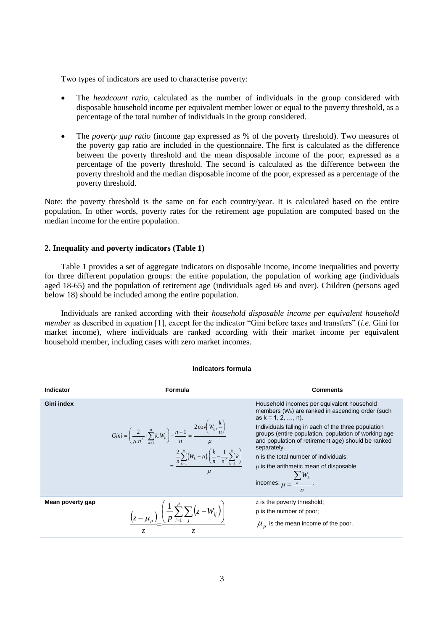Two types of indicators are used to characterise poverty:

- The *headcount ratio*, calculated as the number of individuals in the group considered with disposable household income per equivalent member lower or equal to the poverty threshold, as a percentage of the total number of individuals in the group considered.
- The *poverty gap ratio* (income gap expressed as % of the poverty threshold). Two measures of the poverty gap ratio are included in the questionnaire. The first is calculated as the difference between the poverty threshold and the mean disposable income of the poor, expressed as a percentage of the poverty threshold. The second is calculated as the difference between the poverty threshold and the median disposable income of the poor, expressed as a percentage of the poverty threshold.

Note: the poverty threshold is the same on for each country/year. It is calculated based on the entire population. In other words, poverty rates for the retirement age population are computed based on the median income for the entire population.

# **2. Inequality and poverty indicators (Table 1)**

Table 1 provides a set of aggregate indicators on disposable income, income inequalities and poverty for three different population groups: the entire population, the population of working age (individuals aged 18-65) and the population of retirement age (individuals aged 66 and over). Children (persons aged below 18) should be included among the entire population.

Individuals are ranked according with their *household disposable income per equivalent household member* as described in equation [1], except for the indicator "Gini before taxes and transfers" (*i.e.* Gini for market income), where individuals are ranked according with their market income per equivalent household member, including cases with zero market incomes.

| <b>Indicator</b>  | <b>Formula</b>                                                                                                                                                                                                                                      | <b>Comments</b>                                                                                                                                                                                                                                                                                                                                                                                                                                                        |
|-------------------|-----------------------------------------------------------------------------------------------------------------------------------------------------------------------------------------------------------------------------------------------------|------------------------------------------------------------------------------------------------------------------------------------------------------------------------------------------------------------------------------------------------------------------------------------------------------------------------------------------------------------------------------------------------------------------------------------------------------------------------|
| <b>Gini index</b> | <i>Gini</i> = $\left(\frac{2}{\mu n^2} \cdot \sum_{k=1}^n k \cdot W_k\right) - \frac{n+1}{n} = \frac{2 \text{cov}\left(W_k, \frac{k}{n}\right)}{n}$<br>$\frac{2}{n}\sum_{k=1}^n (W_k - \mu) \left(\frac{k}{n} - \frac{1}{n^2}\sum_{k=1}^n k\right)$ | Household incomes per equivalent household<br>members $(W_k)$ are ranked in ascending order (such<br>as $k = 1, 2, , n$ ).<br>Individuals falling in each of the three population<br>groups (entire population, population of working age<br>and population of retirement age) should be ranked<br>separately.<br>n is the total number of individuals;<br>$\mu$ is the arithmetic mean of disposable<br>incomes: $\mu = \frac{\sum_k W_k}{\mu}$ .<br>$\boldsymbol{n}$ |
| Mean poverty gap  | $\left(z-\mu_{n}\right)\left(\frac{1}{p}\sum_{i=1}^{p}\sum_{j}\left(z-W_{ij}\right)\right)$                                                                                                                                                         | z is the poverty threshold;<br>p is the number of poor;<br>$\mu_{\nu}$ is the mean income of the poor.                                                                                                                                                                                                                                                                                                                                                                 |

#### **Indicators formula**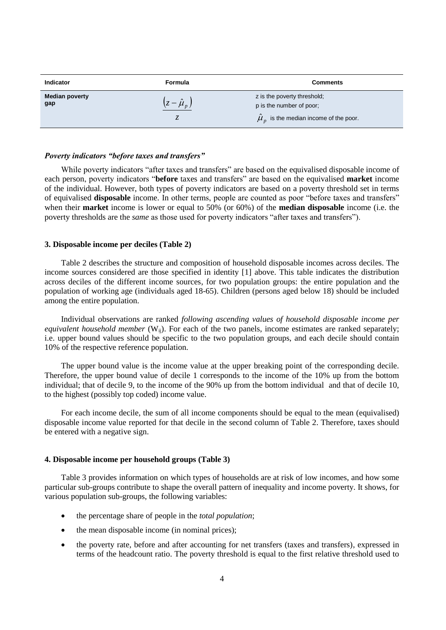| <b>Indicator</b>             | Formula                      | <b>Comments</b>                                         |
|------------------------------|------------------------------|---------------------------------------------------------|
| <b>Median poverty</b><br>gap | $\left(z-\hat{\mu}_p\right)$ | z is the poverty threshold;<br>p is the number of poor; |
|                              |                              | $\hat{\mu}_n$ is the median income of the poor.         |

# *Poverty indicators "before taxes and transfers"*

While poverty indicators "after taxes and transfers" are based on the equivalised disposable income of each person, poverty indicators "**before** taxes and transfers" are based on the equivalised **market** income of the individual. However, both types of poverty indicators are based on a poverty threshold set in terms of equivalised **disposable** income. In other terms, people are counted as poor "before taxes and transfers" when their **market** income is lower or equal to 50% (or 60%) of the **median disposable** income (i.e. the poverty thresholds are the *same* as those used for poverty indicators "after taxes and transfers").

# **3. Disposable income per deciles (Table 2)**

Table 2 describes the structure and composition of household disposable incomes across deciles. The income sources considered are those specified in identity [1] above. This table indicates the distribution across deciles of the different income sources, for two population groups: the entire population and the population of working age (individuals aged 18-65). Children (persons aged below 18) should be included among the entire population.

Individual observations are ranked *following ascending values of household disposable income per equivalent household member* (W<sub>ij</sub>). For each of the two panels, income estimates are ranked separately; i.e. upper bound values should be specific to the two population groups, and each decile should contain 10% of the respective reference population.

The upper bound value is the income value at the upper breaking point of the corresponding decile. Therefore, the upper bound value of decile 1 corresponds to the income of the 10% up from the bottom individual; that of decile 9, to the income of the 90% up from the bottom individual and that of decile 10, to the highest (possibly top coded) income value.

For each income decile, the sum of all income components should be equal to the mean (equivalised) disposable income value reported for that decile in the second column of Table 2. Therefore, taxes should be entered with a negative sign.

## **4. Disposable income per household groups (Table 3)**

Table 3 provides information on which types of households are at risk of low incomes, and how some particular sub-groups contribute to shape the overall pattern of inequality and income poverty. It shows, for various population sub-groups, the following variables:

- the percentage share of people in the *total population*;
- the mean disposable income (in nominal prices);
- the poverty rate, before and after accounting for net transfers (taxes and transfers), expressed in terms of the headcount ratio. The poverty threshold is equal to the first relative threshold used to